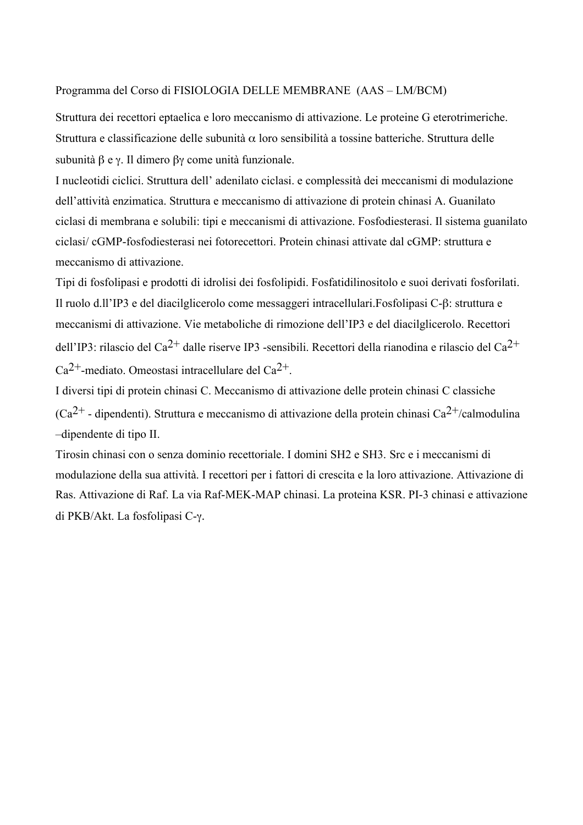## Programma del Corso di FISIOLOGIA DELLE MEMBRANE (AAS – LM/BCM)

Struttura dei recettori eptaelica e loro meccanismo di attivazione. Le proteine G eterotrimeriche. Struttura e classificazione delle subunità α loro sensibilità a tossine batteriche. Struttura delle subunità β e γ. Il dimero βγ come unità funzionale.

I nucleotidi ciclici. Struttura dell' adenilato ciclasi. e complessità dei meccanismi di modulazione dell'attività enzimatica. Struttura e meccanismo di attivazione di protein chinasi A. Guanilato ciclasi di membrana e solubili: tipi e meccanismi di attivazione. Fosfodiesterasi. Il sistema guanilato ciclasi/ cGMP-fosfodiesterasi nei fotorecettori. Protein chinasi attivate dal cGMP: struttura e meccanismo di attivazione.

Tipi di fosfolipasi e prodotti di idrolisi dei fosfolipidi. Fosfatidilinositolo e suoi derivati fosforilati. Il ruolo d.ll'IP3 e del diacilglicerolo come messaggeri intracellulari.Fosfolipasi C-β: struttura e meccanismi di attivazione. Vie metaboliche di rimozione dell'IP3 e del diacilglicerolo. Recettori dell'IP3: rilascio del Ca<sup>2+</sup> dalle riserve IP3 -sensibili. Recettori della rianodina e rilascio del Ca<sup>2+</sup>  $Ca^{2+}$ -mediato. Omeostasi intracellulare del Ca $^{2+}$ .

I diversi tipi di protein chinasi C. Meccanismo di attivazione delle protein chinasi C classiche  $(Ca^{2+}$  - dipendenti). Struttura e meccanismo di attivazione della protein chinasi  $Ca^{2+}/c$ almodulina –dipendente di tipo II.

Tirosin chinasi con o senza dominio recettoriale. I domini SH2 e SH3. Src e i meccanismi di modulazione della sua attività. I recettori per i fattori di crescita e la loro attivazione. Attivazione di Ras. Attivazione di Raf. La via Raf-MEK-MAP chinasi. La proteina KSR. PI-3 chinasi e attivazione di PKB/Akt. La fosfolipasi C-γ.